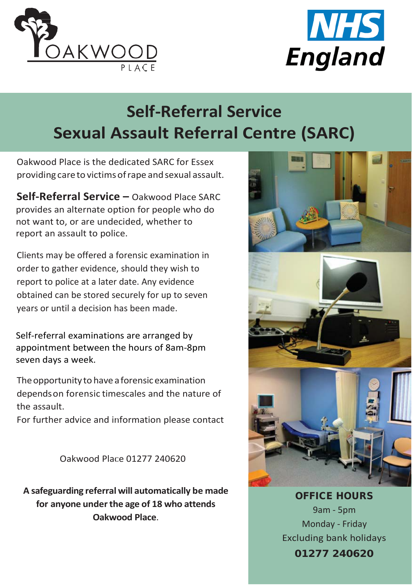



## **Self-Referral Service Sexual Assault Referral Centre (SARC)**

Oakwood Place is the dedicated SARC for Essex providing care to victims of rape and sexual assault.

**Self-Referral Service –** Oakwood Place SARC provides an alternate option for people who do not want to, or are undecided, whether to report an assault to police.

Clients may be offered a forensic examination in order to gather evidence, should they wish to report to police at a later date. Any evidence obtained can be stored securely for up to seven years or until a decision has been made.

Self-referral examinations are arranged by appointment between the hours of 8am-8pm seven days a week.

The opportunity to have a forensic examination dependson forensic timescales and the nature of the assault.

For further advice and information please contact

Oakwood Place 01277 240620

**A safeguarding referral will automatically be made for anyone underthe age of 18 who attends Oakwood Place**.



OFFICE HOURS 9am - 5pm Monday - Friday Excluding bank holidays

01277 240620